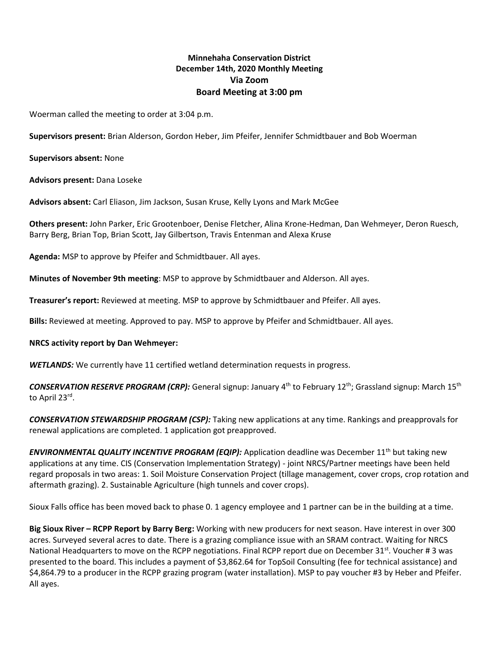# **Minnehaha Conservation District December 14th, 2020 Monthly Meeting Via Zoom Board Meeting at 3:00 pm**

Woerman called the meeting to order at 3:04 p.m.

**Supervisors present:** Brian Alderson, Gordon Heber, Jim Pfeifer, Jennifer Schmidtbauer and Bob Woerman

**Supervisors absent:** None

**Advisors present:** Dana Loseke

**Advisors absent:** Carl Eliason, Jim Jackson, Susan Kruse, Kelly Lyons and Mark McGee

**Others present:** John Parker, Eric Grootenboer, Denise Fletcher, Alina Krone-Hedman, Dan Wehmeyer, Deron Ruesch, Barry Berg, Brian Top, Brian Scott, Jay Gilbertson, Travis Entenman and Alexa Kruse

**Agenda:** MSP to approve by Pfeifer and Schmidtbauer. All ayes.

**Minutes of November 9th meeting**: MSP to approve by Schmidtbauer and Alderson. All ayes.

**Treasurer's report:** Reviewed at meeting. MSP to approve by Schmidtbauer and Pfeifer. All ayes.

**Bills:** Reviewed at meeting. Approved to pay. MSP to approve by Pfeifer and Schmidtbauer. All ayes.

#### **NRCS activity report by Dan Wehmeyer:**

*WETLANDS:* We currently have 11 certified wetland determination requests in progress.

*CONSERVATION RESERVE PROGRAM (CRP):* General signup: January 4th to February 12th; Grassland signup: March 15th to April 23<sup>rd</sup>.

*CONSERVATION STEWARDSHIP PROGRAM (CSP):* Taking new applications at any time. Rankings and preapprovals for renewal applications are completed. 1 application got preapproved.

**ENVIRONMENTAL QUALITY INCENTIVE PROGRAM (EQIP):** Application deadline was December 11<sup>th</sup> but taking new applications at any time. CIS (Conservation Implementation Strategy) - joint NRCS/Partner meetings have been held regard proposals in two areas: 1. Soil Moisture Conservation Project (tillage management, cover crops, crop rotation and aftermath grazing). 2. Sustainable Agriculture (high tunnels and cover crops).

Sioux Falls office has been moved back to phase 0. 1 agency employee and 1 partner can be in the building at a time.

**Big Sioux River – RCPP Report by Barry Berg:** Working with new producers for next season. Have interest in over 300 acres. Surveyed several acres to date. There is a grazing compliance issue with an SRAM contract. Waiting for NRCS National Headquarters to move on the RCPP negotiations. Final RCPP report due on December 31<sup>st</sup>. Voucher # 3 was presented to the board. This includes a payment of \$3,862.64 for TopSoil Consulting (fee for technical assistance) and \$4,864.79 to a producer in the RCPP grazing program (water installation). MSP to pay voucher #3 by Heber and Pfeifer. All ayes.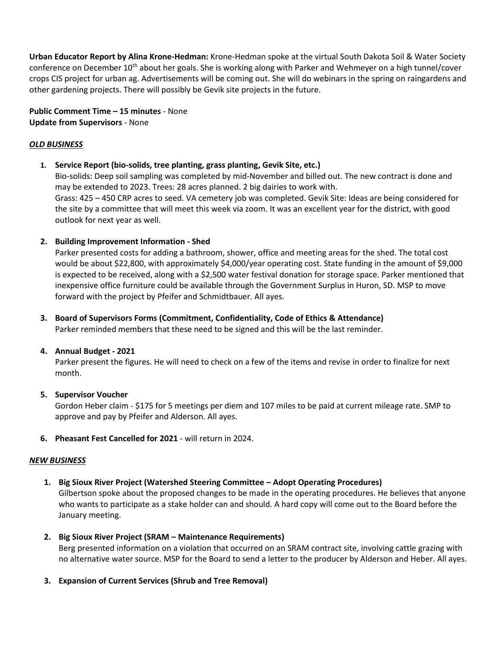**Urban Educator Report by Alina Krone-Hedman:** Krone-Hedman spoke at the virtual South Dakota Soil & Water Society conference on December 10<sup>th</sup> about her goals. She is working along with Parker and Wehmeyer on a high tunnel/cover crops CIS project for urban ag. Advertisements will be coming out. She will do webinars in the spring on raingardens and other gardening projects. There will possibly be Gevik site projects in the future.

# **Public Comment Time – 15 minutes** - None **Update from Supervisors** - None

# *OLD BUSINESS*

**1. Service Report (bio-solids, tree planting, grass planting, Gevik Site, etc.)**

Bio-solids: Deep soil sampling was completed by mid-November and billed out. The new contract is done and may be extended to 2023. Trees: 28 acres planned. 2 big dairies to work with. Grass: 425 – 450 CRP acres to seed. VA cemetery job was completed. Gevik Site: Ideas are being considered for the site by a committee that will meet this week via zoom. It was an excellent year for the district, with good outlook for next year as well.

# **2. Building Improvement Information - Shed**

Parker presented costs for adding a bathroom, shower, office and meeting areas for the shed. The total cost would be about \$22,800, with approximately \$4,000/year operating cost. State funding in the amount of \$9,000 is expected to be received, along with a \$2,500 water festival donation for storage space. Parker mentioned that inexpensive office furniture could be available through the Government Surplus in Huron, SD. MSP to move forward with the project by Pfeifer and Schmidtbauer. All ayes.

# **3. Board of Supervisors Forms (Commitment, Confidentiality, Code of Ethics & Attendance)**

Parker reminded members that these need to be signed and this will be the last reminder.

### **4. Annual Budget - 2021**

Parker present the figures. He will need to check on a few of the items and revise in order to finalize for next month.

# **5. Supervisor Voucher**

Gordon Heber claim - \$175 for 5 meetings per diem and 107 miles to be paid at current mileage rate. SMP to approve and pay by Pfeifer and Alderson. All ayes.

**6. Pheasant Fest Cancelled for 2021** - will return in 2024.

# *NEW BUSINESS*

**1. Big Sioux River Project (Watershed Steering Committee – Adopt Operating Procedures)**

Gilbertson spoke about the proposed changes to be made in the operating procedures. He believes that anyone who wants to participate as a stake holder can and should. A hard copy will come out to the Board before the January meeting.

- **2. Big Sioux River Project (SRAM – Maintenance Requirements)** Berg presented information on a violation that occurred on an SRAM contract site, involving cattle grazing with no alternative water source. MSP for the Board to send a letter to the producer by Alderson and Heber. All ayes.
- **3. Expansion of Current Services (Shrub and Tree Removal)**